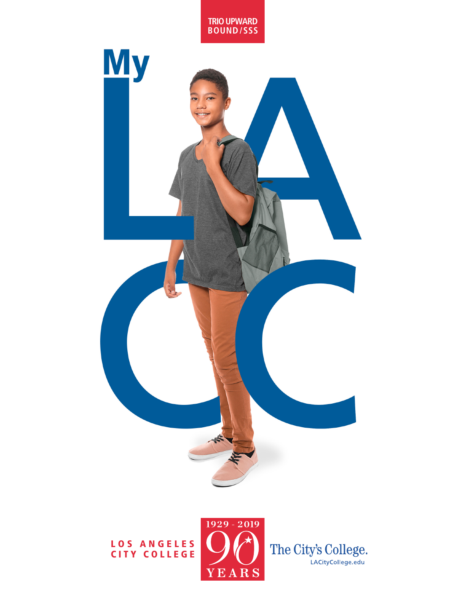

#### LOS ANGELES CITY COLLEGE